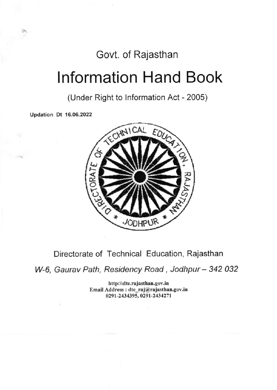## Govt. of Rajasthan

# lnformation Hand Book

(Under Right to lnformation Act - 2005)

Updation Dt 16.06.2022



## Directorate of Technical Education, Rajasthan

W-6, Gaurav Path, Residency Road, Jodhpur - 342 032

http:\\dte.rajasthan.gov.in Email Address : dte raj@rajasthan.gov.in 0291-2434395, 0291-2434271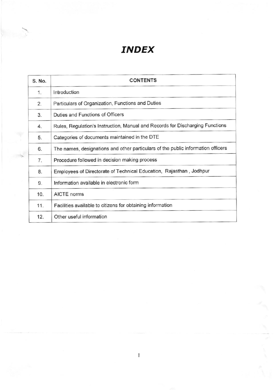## INDEX

| S. No. | <b>CONTENTS</b>                                                                  |
|--------|----------------------------------------------------------------------------------|
| 1.     | Introduction                                                                     |
| 2.     | Particulars of Organization, Functions and Duties                                |
| 3.     | Duties and Functions of Officers                                                 |
| 4.     | Rules, Regulation's Instruction, Manual and Records for Discharging Functions    |
| 5.     | Categories of documents maintained in the DTE                                    |
| 6.     | The names, designations and other particulars of the public information officers |
| 7.     | Procedure followed in decision making process                                    |
| 8.     | Employees of Directorate of Technical Education, Rajasthan, Jodhpur              |
| 9.     | Information available in electronic form                                         |
| 10.    | AICTE norms                                                                      |
| 11.    | Facilities available to citizens for obtaining information                       |
| 12.    | Other useful information                                                         |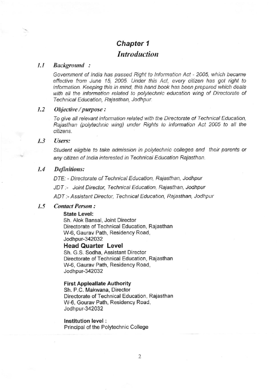## Chapter 1 Introduction

## 1.1 Background :

Government of India has passed Right to Information Act - 2005, which became effective from June 15, 2005. Under this Act, every citizen has got right to information. Keeping this in mind, this hand book has been prepared which deals with all the information related to polytechnic education wing of Directorate of Technical Education, Rajasthan, Jodhpur.

### 1.2 Objective / purpose :

To give all relevant information related with the Directorate of Technical Education, Rajasthan (polytechnic wing) under Rights to lnfomation Act 2005 to all the citizens.

## 1.3 Users:

Student eligible to take admission in polytechnic colleges and their parents or any citizen of lndia interested in Technical Education Rajasthan.

## 1.4 Definitions:

DTE: - Directorate of Technical Education, Raiasthan, Jodhpur

JDT:- Joint Director, Technical Education, Rajasthan, Jodhpur

ADT:- Assistant Director, Technical Education, Rajasthan, Jodhpur

## 1.5 Contact Person:

## State Level:

Sh. Alok Bansal, Joint Director Directorate of Technical Education, Rajasthan W6, Gaurav Path, Residency Road, Jodhpur-342032 Head Quarter Level

Sh. G.S. Sodha, Assistant Director Directorate of Technical Education, Rajasthan W-6, Gaurav Path, Residency Road, Jodhpur-342032

#### First Appleallate Authority

Sh. P.C. Makwana, Director Directorate of Technical Education, Rajasthan W-6, Gourav Path, Residency Road, Jodhpur-342032

### lnstitution level :

Principal of the Polytechnic College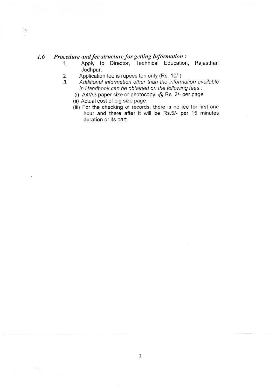## 1.6 Procedure and fee structure for getting information:<br>1. Apply to Director, Technical Education

- Apply to Director, Technical Education, Rajasthan<br>Jodhpur.
- 2. Application fee is rupees ten only (Rs. 10/-)<br>3. Additional information other than the inform
- Additional information other than the information available in Handbook can be obtained on the following fees :
	- (i) A4/A3 paper size or photocopy @ Rs. 2/- per page
	- (ii) Actual cost of big size page.
	- (iii) For the checking of records, there is no fee for first one hour and there after it will be Rs.5/- per 15 minutes duration or its part.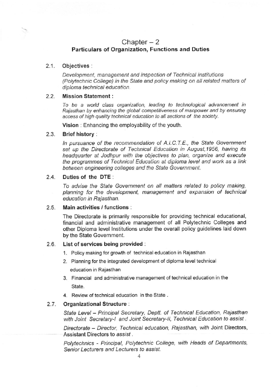## Chapter  $-2$ Particulars of Organization, Functions and Duties

## 2.1. Obiectives:

Development, management and inspection of Technical lnstitutions (Polytechnic College) in the State and policy making on all related matters of diploma technical education.

## 2.2. Mission Statement:

To be a wotld class organization, leading to technological advancement in Rajasthan by enhancing the global competitiveness of manpower and by ensuring access of high quality technical education to all sections of the society.

Vision : Enhancing the employability of the youlh.

## 2.3. Brief history :

ln pursuance of the recommendation of A.I.C.T.E., the State Government set up the Directorate of Technical Education in August, 1956, having its headquarter at Jodhpur with the objectives to plan, organize and execute the programmes of Technical Education at diploma level and work as a link between engineering colleges and the State Government.

## 2.4. Duties of the DTE:

To advise the State Government on all matters related to policy making, planning for the development, management and expansion of technical education in Rajasthan.

## 2.5. Main activities / functions :

The Directorate is primarily responsible for providing technical educational, financial and administrative management of all Polytechnic Colleges and other Diploma level lnstitutions under the overall policy guidelines laid down by the State Government.

## 2.6. List of services being provided :

- 1. Policy making for growth of technical education in Rajasthan
- 2. Planning for the integrated development of diploma level technical education in Rajasthan
- 3. Financial and administrative management of technical education in the State.
- 4. Review of technical education in the State .

## 2.7. Organizational Structure :

State Level - Principal Secretary, Deptt. of Technical Education, Rajasthan with Joint Secretary-I and Joint Secretary-II, Technical Education to assist.

Directorate - Director, Technical education, Rajasthan, with Joint Directors, Assistant Directors to assist.

Polytechnics - Principal, Polytechnic College, with Heads of Departments, Senior Lecturers and Lecturers to assist.